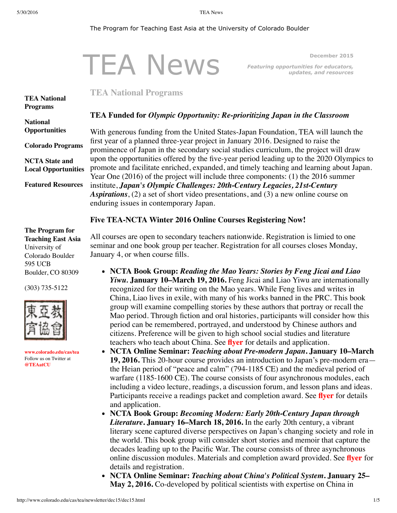#### <span id="page-0-0"></span>The Program for Teaching East Asia at the University of Colorado Boulder

|                            |                                                                                                                                                                                                                                                                                                                                                                                                                                                       |                                                                  | December 2015                                                    |
|----------------------------|-------------------------------------------------------------------------------------------------------------------------------------------------------------------------------------------------------------------------------------------------------------------------------------------------------------------------------------------------------------------------------------------------------------------------------------------------------|------------------------------------------------------------------|------------------------------------------------------------------|
|                            |                                                                                                                                                                                                                                                                                                                                                                                                                                                       | <b>TEA News</b>                                                  | Featuring opportunities for educators,<br>updates, and resources |
| <b>TEA National</b>        | <b>TEA National Programs</b>                                                                                                                                                                                                                                                                                                                                                                                                                          |                                                                  |                                                                  |
| <b>Programs</b>            |                                                                                                                                                                                                                                                                                                                                                                                                                                                       |                                                                  |                                                                  |
| <b>National</b>            | <b>TEA Funded for Olympic Opportunity: Re-prioritizing Japan in the Classroom</b>                                                                                                                                                                                                                                                                                                                                                                     |                                                                  |                                                                  |
| <b>Opportunities</b>       | With generous funding from the United States-Japan Foundation, TEA will launch the                                                                                                                                                                                                                                                                                                                                                                    |                                                                  |                                                                  |
| <b>Colorado Programs</b>   | first year of a planned three-year project in January 2016. Designed to raise the<br>prominence of Japan in the secondary social studies curriculum, the project will draw                                                                                                                                                                                                                                                                            |                                                                  |                                                                  |
| <b>NCTA State and</b>      | upon the opportunities offered by the five-year period leading up to the 2020 Olympics to<br>promote and facilitate enriched, expanded, and timely teaching and learning about Japan.<br>Year One $(2016)$ of the project will include three components: (1) the 2016 summer<br>institute, Japan's Olympic Challenges: 20th-Century Legacies, 21st-Century<br>Aspirations, $(2)$ a set of short video presentations, and $(3)$ a new online course on |                                                                  |                                                                  |
| <b>Local Opportunities</b> |                                                                                                                                                                                                                                                                                                                                                                                                                                                       |                                                                  |                                                                  |
| <b>Featured Resources</b>  |                                                                                                                                                                                                                                                                                                                                                                                                                                                       |                                                                  |                                                                  |
|                            |                                                                                                                                                                                                                                                                                                                                                                                                                                                       |                                                                  |                                                                  |
|                            |                                                                                                                                                                                                                                                                                                                                                                                                                                                       | enduring issues in contemporary Japan.                           |                                                                  |
|                            |                                                                                                                                                                                                                                                                                                                                                                                                                                                       | <b>Five TEA-NCTA Winter 2016 Online Courses Registering Now!</b> |                                                                  |

**The Program for Teaching East Asia** University of Colorado Boulder 595 UCB Boulder, CO 80309

(303) 735-5122



**[www.colorado.edu/cas/tea](http://www.colorado.edu/cas/tea)** Follow us on Twitter at **[@TEAatCU](https://twitter.com/TEAatCU)**

All courses are open to secondary teachers nationwide. Registration is limied to one seminar and one book group per teacher. Registration for all courses closes Monday, January 4, or when course fills.

- **NCTA Book Group:** *Reading the Mao Years: Stories by Feng Jicai and Liao Yiwu.* **January 10–March 19, 2016.** Feng Jicai and Liao Yiwu are internationally recognized for their writing on the Mao years. While Feng lives and writes in China, Liao lives in exile, with many of his works banned in the PRC. This book group will examine compelling stories by these authors that portray or recall the Mao period. Through fiction and oral histories, participants will consider how this period can be remembered, portrayed, and understood by Chinese authors and citizens. Preference will be given to high school social studies and literature teachers who teach about China. See **[flyer](http://www.colorado.edu/cas/tea/ncta/downloads/MaoLitFlyer.pdf)** for details and application.
- **NCTA Online Seminar:** *Teaching about Pre-modern Japan***. January 10–March 19, 2016.** This 20-hour course provides an introduction to Japan's pre-modern era the Heian period of "peace and calm" (794-1185 CE) and the medieval period of warfare (1185-1600 CE). The course consists of four asynchronous modules, each including a video lecture, readings, a discussion forum, and lesson plans and ideas. Participants receive a readings packet and completion award. See **[flyer](http://www.colorado.edu/cas/tea/ncta/downloads/PreModJFlyer.pdf)** for details and application.
- **NCTA Book Group:** *Becoming Modern: Early 20th-Century Japan through Literature***. January 16–March 18, 2016.** In the early 20th century, a vibrant literary scene captured diverse perspectives on Japan's changing society and role in the world. This book group will consider short stories and memoir that capture the decades leading up to the Pacific War. The course consists of three asynchronous online discussion modules. Materials and completion award provided. See **[flyer](http://www.colorado.edu/cas/tea/ncta/downloads/20thcJLitFlyer.pdf)** for details and registration.
- **NCTA Online Seminar:** *Teaching about China's Political System***. January 25– May 2, 2016.** Co-developed by political scientists with expertise on China in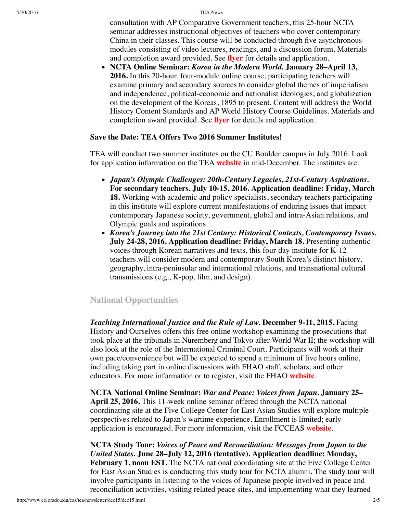5/30/2016 TEA News

consultation with AP Comparative Government teachers, this 25-hour NCTA seminar addresses instructional objectives of teachers who cover contemporary China in their classes. This course will be conducted through five asynchronous modules consisting of video lectures, readings, and a discussion forum. Materials and completion award provided. See **[flyer](http://www.colorado.edu/cas/tea/ncta/downloads/China_Govt_Flyer_Winter-Spring_2016.pdf)** for details and application.

**NCTA Online Seminar:** *Korea in the Modern World.* **January 28–April 13, 2016.** In this 20-hour, four-module online course, participating teachers will examine primary and secondary sources to consider global themes of imperialism and independence, political-economic and nationalist ideologies, and globalization on the development of the Koreas, 1895 to present. Content will address the World History Content Standards and AP World History Course Guidelines. Materials and completion award provided. See **[flyer](http://www.colorado.edu/cas/tea/ncta/downloads/KoreaWS2016flyer.pdf)** for details and application.

# **Save the Date: TEA Offers Two 2016 Summer Institutes!**

TEA will conduct two summer institutes on the CU Boulder campus in July 2016. Look for application information on the TEA **[website](http://www.colorado.edu/cas/tea/)** in mid-December. The institutes are:

- *Japan's Olympic Challenges: 20th-Century Legacies, 21st-Century Aspirations.* **For secondary teachers. July 10-15, 2016. Application deadline: Friday, March 18.** Working with academic and policy specialists, secondary teachers participating in this institute will explore current manifestations of enduring issues that impact contemporary Japanese society, government, global and intra-Asian relations, and Olympic goals and aspirations.
- *Korea's Journey into the 21st Century: Historical Contexts, Contemporary Issues.* **July 24-28, 2016. Application deadline: Friday, March 18.** Presenting authentic voices through Korean narratives and texts, this four-day institute for K-12 teachers.will consider modern and contemporary South Korea's distinct history, geography, intra-peninsular and international relations, and transnational cultural transmissions (e.g., K-pop, film, and design).

# <span id="page-1-0"></span>**National Opportunities**

*Teaching International Justice and the Rule of Law.* **December 9-11, 2015.** Facing History and Ourselves offers this free online workshop examining the prosecutions that took place at the tribunals in Nuremberg and Tokyo after World War II; the workshop will also look at the role of the International Criminal Court. Participants will work at their own pace/convenience but will be expected to spend a minimum of five hours online, including taking part in online discussions with FHAO staff, scholars, and other educators. For more information or to register, visit the FHAO **[website](https://www.facinghistory.org/events/ow2015nat3-teaching-international-justice-and-rule-law)**.

**NCTA National Online Seminar:** *War and Peace: Voices from Japan.* **January 25– April 25, 2016.** This 11-week online seminar offered through the NCTA national coordinating site at the Five College Center for East Asian Studies will explore multiple perspectives related to Japan's wartime experience. Enrollment is limited; early application is encouraged. For more information, visit the FCCEAS **[website](https://www.fivecolleges.edu/fcceas/ncta/national-online)**.

**NCTA Study Tour:** *Voices of Peace and Reconciliation: Messages from Japan to the United States.* **June 28–July 12, 2016 (tentative). Application deadline: Monday, February 1, noon EST.** The NCTA national coordinating site at the Five College Center for East Asian Studies is conducting this study tour for NCTA alumni. The study tour will involve participants in listening to the voices of Japanese people involved in peace and reconciliation activities, visiting related peace sites, and implementing what they learned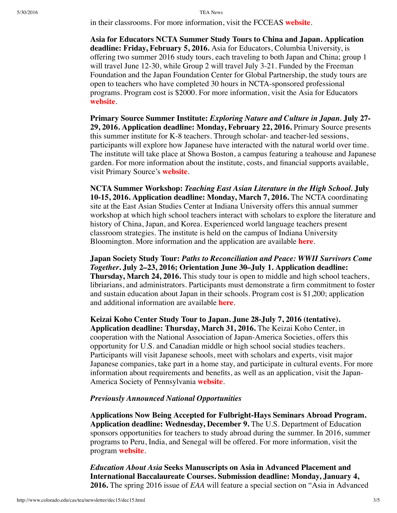in their classrooms. For more information, visit the FCCEAS **[website](https://www.fivecolleges.edu/fcceas/2016-japan-study-tour)**.

**Asia for Educators NCTA Summer Study Tours to China and Japan. Application deadline: Friday, February 5, 2016.** Asia for Educators, Columbia University, is offering two summer 2016 study tours, each traveling to both Japan and China; group 1 will travel June 12-30, while Group 2 will travel July 3-21. Funded by the Freeman Foundation and the Japan Foundation Center for Global Partnership, the study tours are open to teachers who have completed 30 hours in NCTA-sponsored professional programs. Program cost is \$2000. For more information, visit the Asia for Educators **[website](http://www.columbia.edu/itc/eacp/ncta-columbia/studytours/)**.

**Primary Source Summer Institute:** *Exploring Nature and Culture in Japan.* **July 27- 29, 2016. Application deadline: Monday, February 22, 2016.** Primary Source presents this summer institute for K-8 teachers. Through scholar- and teacher-led sessions, participants will explore how Japanese have interacted with the natural world over time. The institute will take place at Showa Boston, a campus featuring a teahouse and Japanese garden. For more information about the institute, costs, and financial supports available, visit Primary Source's **[website](http://www.primarysource.org/for-teachers/courses/exploring-nature-and-culture-in-japan)**.

**NCTA Summer Workshop:** *Teaching East Asian Literature in the High School.* **July 10-15, 2016. Application deadline: Monday, March 7, 2016.** The NCTA coordinating site at the East Asian Studies Center at Indiana University offers this annual summer workshop at which high school teachers interact with scholars to explore the literature and history of China, Japan, and Korea. Experienced world language teachers present classroom strategies. The institute is held on the campus of Indiana University Bloomington. More information and the application are available **[here](http://www.iu.edu/~easc/outreach/educators/literature/index.shtml)**.

**Japan Society Study Tour:** *Paths to Reconciliation and Peace: WWII Survivors Come Together***. July 2–23, 2016; Orientation June 30–July 1. Application deadline: Thursday, March 24, 2016.** This study tour is open to middle and high school teachers, libriarians, and administrators. Participants must demonstrate a firm commitment to foster and sustain education about Japan in their schools. Program cost is \$1,200; application and additional information are available **[here](https://www.japansociety.org/page/programs/education/educators_study_tour)**.

**Keizai Koho Center Study Tour to Japan. June 28-July 7, 2016 (tentative). Application deadline: Thursday, March 31, 2016.** The Keizai Koho Center, in cooperation with the National Association of Japan-America Societies, offers this opportunity for U.S. and Canadian middle or high school social studies teachers. Participants will visit Japanese schools, meet with scholars and experts, visit major Japanese companies, take part in a home stay, and participate in cultural events. For more information about requirements and benefits, as well as an application, visit the Japan-America Society of Pennsylvania **[website](http://www.kkc.or.jp/english/fellowship/fellowships/index.html)**.

### *Previously Announced National Opportunities*

**Applications Now Being Accepted for Fulbright-Hays Seminars Abroad Program. Application deadline: Wednesday, December 9.** The U.S. Department of Education sponsors opportunities for teachers to study abroad during the summer. In 2016, summer programs to Peru, India, and Senegal will be offered. For more information, visit the program **[website](http://www2.ed.gov/programs/iegpssap/sapfacts.html)**.

*Education About Asia* **Seeks Manuscripts on Asia in Advanced Placement and International Baccalaureate Courses. Submission deadline: Monday, January 4, 2016.** The spring 2016 issue of *EAA* will feature a special section on "Asia in Advanced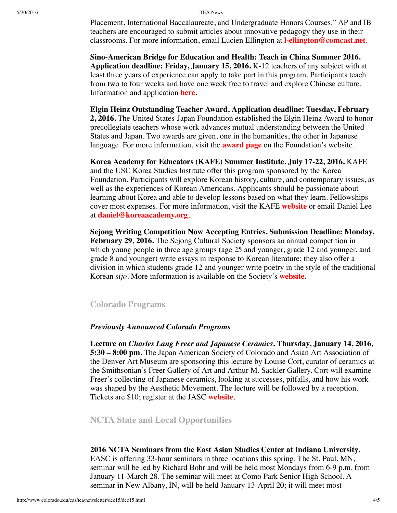Placement, International Baccalaureate, and Undergraduate Honors Courses." AP and IB teachers are encouraged to submit articles about innovative pedagogy they use in their classrooms. For more information, email Lucien Ellington at **[l-ellington@comcast.net](mailto:l-ellington@comcast.net)**.

**Sino-American Bridge for Education and Health: Teach in China Summer 2016. Application deadline: Friday, January 15, 2016.** K-12 teachers of any subject with at least three years of experience can apply to take part in this program. Participants teach from two to four weeks and have one week free to travel and explore Chinese culture. Information and application **[here](http://sabeh.org/summer-2015/)**.

**Elgin Heinz Outstanding Teacher Award. Application deadline: Tuesday, February 2, 2016.** The United States-Japan Foundation established the Elgin Heinz Award to honor precollegiate teachers whose work advances mutual understanding between the United States and Japan. Two awards are given, one in the humanities, the other in Japanese language. For more information, visit the **[award](http://us-jf.org/programs/elgin-heinz-teacher-awards/) page** on the Foundation's website.

**Korea Academy for Educators (KAFE) Summer Institute. July 17-22, 2016.** KAFE and the USC Korea Studies Institute offer this program sponsored by the Korea Foundation. Participants will explore Korean history, culture, and contemporary issues, as well as the experiences of Korean Americans. Applicants should be passionate about learning about Korea and able to develop lessons based on what they learn. Fellowships cover most expenses. For more information, visit the KAFE **[website](http://www.koreaacademy.org/)** or email Daniel Lee at **[daniel@koreaacademy.org](mailto:daniel@koreaacademy.org)**.

**Sejong Writing Competition Now Accepting Entries. Submission Deadline: Monday, February 29, 2016.** The Sejong Cultural Society sponsors an annual competition in which young people in three age groups (age 25 and younger, grade 12 and younger, and grade 8 and younger) write essays in response to Korean literature; they also offer a division in which students grade 12 and younger write poetry in the style of the traditional Korean *sijo*. More information is available on the Society's **[website](http://www.sejongculturalsociety.org/writing/current/index.php)**.

## <span id="page-3-0"></span>**Colorado Programs**

#### *Previously Announced Colorado Programs*

**Lecture on** *Charles Lang Freer and Japanese Ceramics***. Thursday, January 14, 2016, 5:30 – 8:00 pm.** The Japan American Society of Colorado and Asian Art Association of the Denver Art Museum are sponsoring this lecture by Louise Cort, curator of ceramics at the Smithsonian's Freer Gallery of Art and Arthur M. Sackler Gallery. Cort will examine Freer's collecting of Japanese ceramics, looking at successes, pitfalls, and how his work was shaped by the Aesthetic Movement. The lecture will be followed by a reception. Tickets are \$10; register at the JASC **[website](http://www.jascolorado.org/new-events-1/2016/1/14/lecture-charles-lang-freer-and-japanese-ceramics)**.

<span id="page-3-1"></span>**NCTA State and Local Opportunities**

#### **2016 NCTA Seminars from the East Asian Studies Center at Indiana University.**

EASC is offering 33-hour seminars in three locations this spring. The St. Paul, MN, seminar will be led by Richard Bohr and will be held most Mondays from 6-9 p.m. from January 11-March 28. The seminar will meet at Como Park Senior High School. A seminar in New Albany, IN, will be held January 13-April 20; it will meet most